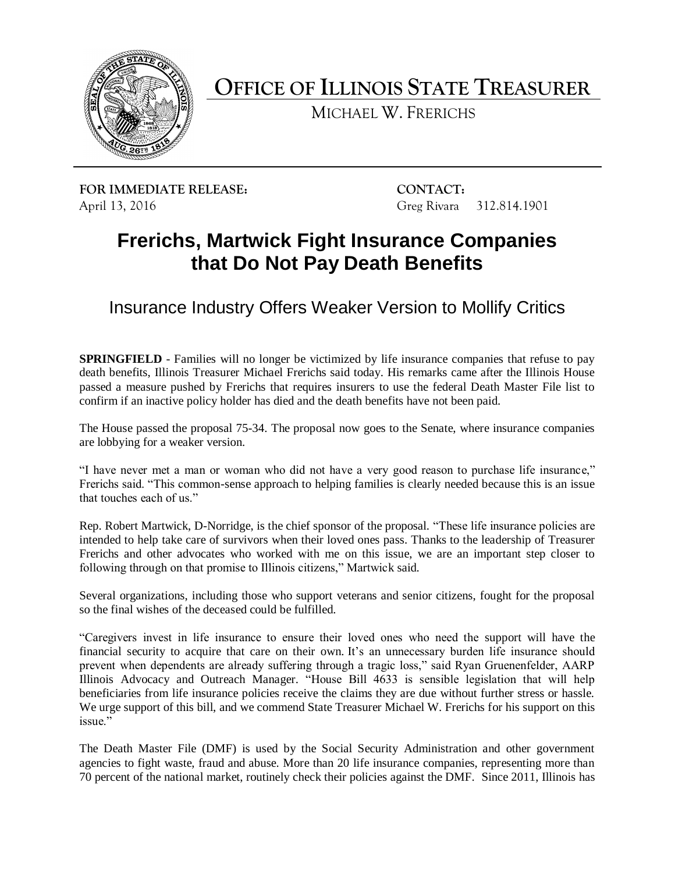

**OFFICE OF ILLINOIS STATE TREASURER**

MICHAEL W. FRERICHS

**FOR IMMEDIATE RELEASE: CONTACT:** April 13, 2016 Greg Rivara 312.814.1901

## **Frerichs, Martwick Fight Insurance Companies that Do Not Pay Death Benefits**

Insurance Industry Offers Weaker Version to Mollify Critics

**SPRINGFIELD** - Families will no longer be victimized by life insurance companies that refuse to pay death benefits, Illinois Treasurer Michael Frerichs said today. His remarks came after the Illinois House passed a measure pushed by Frerichs that requires insurers to use the federal Death Master File list to confirm if an inactive policy holder has died and the death benefits have not been paid.

The House passed the proposal 75-34. The proposal now goes to the Senate, where insurance companies are lobbying for a weaker version.

"I have never met a man or woman who did not have a very good reason to purchase life insurance," Frerichs said. "This common-sense approach to helping families is clearly needed because this is an issue that touches each of us."

Rep. Robert Martwick, D-Norridge, is the chief sponsor of the proposal. "These life insurance policies are intended to help take care of survivors when their loved ones pass. Thanks to the leadership of Treasurer Frerichs and other advocates who worked with me on this issue, we are an important step closer to following through on that promise to Illinois citizens," Martwick said.

Several organizations, including those who support veterans and senior citizens, fought for the proposal so the final wishes of the deceased could be fulfilled.

"Caregivers invest in life insurance to ensure their loved ones who need the support will have the financial security to acquire that care on their own. It's an unnecessary burden life insurance should prevent when dependents are already suffering through a tragic loss," said Ryan Gruenenfelder, AARP Illinois Advocacy and Outreach Manager. "House Bill 4633 is sensible legislation that will help beneficiaries from life insurance policies receive the claims they are due without further stress or hassle. We urge support of this bill, and we commend State Treasurer Michael W. Frerichs for his support on this issue."

The Death Master File (DMF) is used by the Social Security Administration and other government agencies to fight waste, fraud and abuse. More than 20 life insurance companies, representing more than 70 percent of the national market, routinely check their policies against the DMF. Since 2011, Illinois has